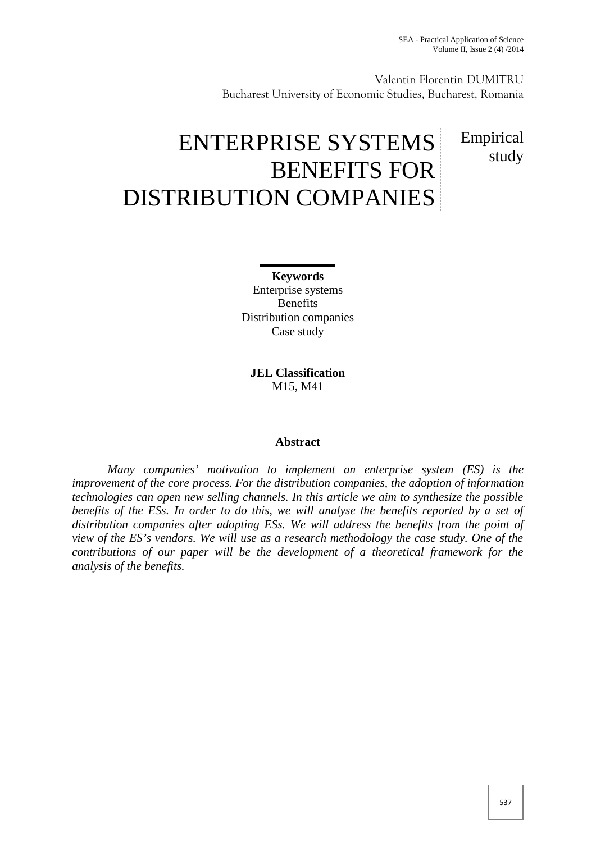study

Valentin Florentin DUMITRU Bucharest University of Economic Studies, Bucharest, Romania

# ENTERPRISE SYSTEMS BENEFITS FOR DISTRIBUTION COMPANIES Empirical

**Keywords** Enterprise systems **Benefits** Distribution companies Case study

**JEL Classification** M15, M41

# **Abstract**

*Many companies' motivation to implement an enterprise system (ES) is the improvement of the core process. For the distribution companies, the adoption of information technologies can open new selling channels. In this article we aim to synthesize the possible benefits of the ESs. In order to do this, we will analyse the benefits reported by a set of distribution companies after adopting ESs. We will address the benefits from the point of view of the ES's vendors. We will use as a research methodology the case study. One of the contributions of our paper will be the development of a theoretical framework for the analysis of the benefits.*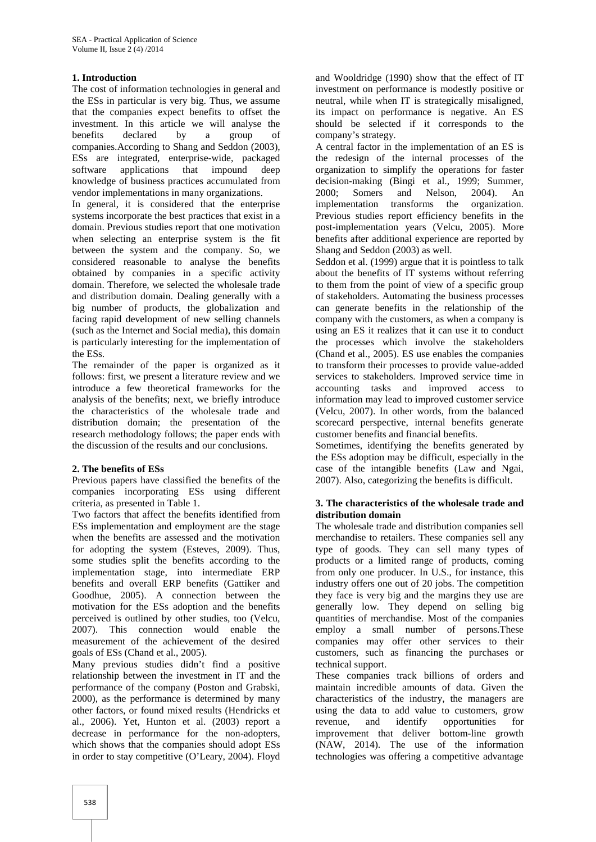# **1. Introduction**

The cost of information technologies in general and the ESs in particular is very big. Thus, we assume that the companies expect benefits to offset the investment. In this article we will analyse the benefits declared by a group of companies.According to Shang and Seddon (2003), ESs are integrated, enterprise-wide, packaged software applications that impound deep knowledge of business practices accumulated from vendor implementations in many organizations.

In general, it is considered that the enterprise systems incorporate the best practices that exist in a domain. Previous studies report that one motivation when selecting an enterprise system is the fit between the system and the company. So, we considered reasonable to analyse the benefits obtained by companies in a specific activity domain. Therefore, we selected the wholesale trade and distribution domain. Dealing generally with a big number of products, the globalization and facing rapid development of new selling channels (such as the Internet and Social media), this domain is particularly interesting for the implementation of the ESs.

The remainder of the paper is organized as it follows: first, we present a literature review and we introduce a few theoretical frameworks for the analysis of the benefits; next, we briefly introduce the characteristics of the wholesale trade and distribution domain; the presentation of the research methodology follows; the paper ends with the discussion of the results and our conclusions.

## **2. The benefits of ESs**

Previous papers have classified the benefits of the companies incorporating ESs using different criteria, as presented in Table 1.

Two factors that affect the benefits identified from ESs implementation and employment are the stage when the benefits are assessed and the motivation for adopting the system (Esteves, 2009). Thus, some studies split the benefits according to the implementation stage, into intermediate ERP benefits and overall ERP benefits (Gattiker and Goodhue, 2005). A connection between the motivation for the ESs adoption and the benefits perceived is outlined by other studies, too (Velcu, 2007). This connection would enable the measurement of the achievement of the desired goals of ESs (Chand et al., 2005).

Many previous studies didn't find a positive relationship between the investment in IT and the performance of the company (Poston and Grabski, 2000), as the performance is determined by many other factors, or found mixed results (Hendricks et al., 2006). Yet, Hunton et al. (2003) report a decrease in performance for the non-adopters, which shows that the companies should adopt ESs in order to stay competitive (O'Leary, 2004). Floyd

and Wooldridge (1990) show that the effect of IT investment on performance is modestly positive or neutral, while when IT is strategically misaligned, its impact on performance is negative. An ES should be selected if it corresponds to the company's strategy.

A central factor in the implementation of an ES is the redesign of the internal processes of the organization to simplify the operations for faster decision-making (Bingi et al., 1999; Summer, 2000; Somers and Nelson, 2004). An implementation transforms the organization. Previous studies report efficiency benefits in the post-implementation years (Velcu, 2005). More benefits after additional experience are reported by Shang and Seddon (2003) as well.

Seddon et al. (1999) argue that it is pointless to talk about the benefits of IT systems without referring to them from the point of view of a specific group of stakeholders. Automating the business processes can generate benefits in the relationship of the company with the customers, as when a company is using an ES it realizes that it can use it to conduct the processes which involve the stakeholders (Chand et al., 2005). ES use enables the companies to transform their processes to provide value-added services to stakeholders. Improved service time in accounting tasks and improved access to information may lead to improved customer service (Velcu, 2007). In other words, from the balanced scorecard perspective, internal benefits generate customer benefits and financial benefits.

Sometimes, identifying the benefits generated by the ESs adoption may be difficult, especially in the case of the intangible benefits (Law and Ngai, 2007). Also, categorizing the benefits is difficult.

## **3. The characteristics of the wholesale trade and distribution domain**

The wholesale trade and distribution companies sell merchandise to retailers. These companies sell any type of goods. They can sell many types of products or a limited range of products, coming from only one producer. In U.S., for instance, this industry offers one out of 20 jobs. The competition they face is very big and the margins they use are generally low. They depend on selling big quantities of merchandise. Most of the companies employ a small number of persons.These companies may offer other services to their customers, such as financing the purchases or technical support.

These companies track billions of orders and maintain incredible amounts of data. Given the characteristics of the industry, the managers are using the data to add value to customers, grow revenue, and identify opportunities for improvement that deliver bottom-line growth (NAW, 2014). The use of the information technologies was offering a competitive advantage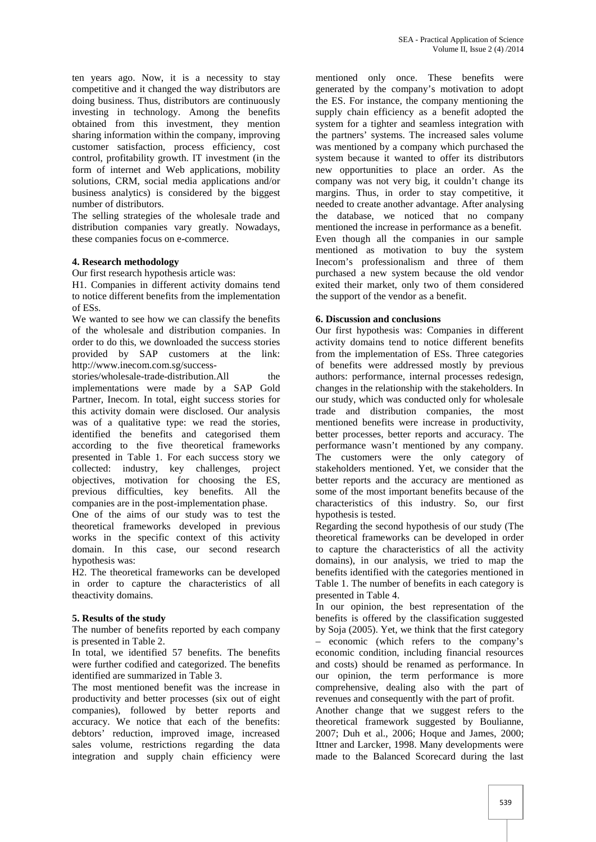ten years ago. Now, it is a necessity to stay competitive and it changed the way distributors are doing business. Thus, distributors are continuously investing in technology. Among the benefits obtained from this investment, they mention sharing information within the company, improving customer satisfaction, process efficiency, cost control, profitability growth. IT investment (in the form of internet and Web applications, mobility solutions, CRM, social media applications and/or business analytics) is considered by the biggest number of distributors.

The selling strategies of the wholesale trade and distribution companies vary greatly. Nowadays, these companies focus on e-commerce.

## **4. Research methodology**

Our first research hypothesis article was:

H1. Companies in different activity domains tend to notice different benefits from the implementation of ESs.

We wanted to see how we can classify the benefits of the wholesale and distribution companies. In order to do this, we downloaded the success stories provided by SAP customers at the link: http://www.inecom.com.sg/success-

stories/wholesale-trade-distribution.All the implementations were made by a SAP Gold Partner, Inecom. In total, eight success stories for this activity domain were disclosed. Our analysis was of a qualitative type: we read the stories, identified the benefits and categorised them according to the five theoretical frameworks presented in Table 1. For each success story we collected: industry, key challenges, project objectives, motivation for choosing the ES, previous difficulties, key benefits. All the companies are in the post-implementation phase.

One of the aims of our study was to test the theoretical frameworks developed in previous works in the specific context of this activity domain. In this case, our second research hypothesis was:

H2. The theoretical frameworks can be developed in order to capture the characteristics of all theactivity domains.

## **5. Results of the study**

The number of benefits reported by each company is presented in Table 2.

In total, we identified 57 benefits. The benefits were further codified and categorized. The benefits identified are summarized in Table 3.

The most mentioned benefit was the increase in productivity and better processes (six out of eight companies), followed by better reports and accuracy. We notice that each of the benefits: debtors' reduction, improved image, increased sales volume, restrictions regarding the data integration and supply chain efficiency were

mentioned only once. These benefits were generated by the company's motivation to adopt the ES. For instance, the company mentioning the supply chain efficiency as a benefit adopted the system for a tighter and seamless integration with the partners' systems. The increased sales volume was mentioned by a company which purchased the system because it wanted to offer its distributors new opportunities to place an order. As the company was not very big, it couldn't change its margins. Thus, in order to stay competitive, it needed to create another advantage. After analysing the database, we noticed that no company mentioned the increase in performance as a benefit. Even though all the companies in our sample mentioned as motivation to buy the system Inecom's professionalism and three of them purchased a new system because the old vendor exited their market, only two of them considered the support of the vendor as a benefit.

## **6. Discussion and conclusions**

Our first hypothesis was: Companies in different activity domains tend to notice different benefits from the implementation of ESs. Three categories of benefits were addressed mostly by previous authors: performance, internal processes redesign, changes in the relationship with the stakeholders. In our study, which was conducted only for wholesale trade and distribution companies, the most mentioned benefits were increase in productivity, better processes, better reports and accuracy. The performance wasn't mentioned by any company. The customers were the only category of stakeholders mentioned. Yet, we consider that the better reports and the accuracy are mentioned as some of the most important benefits because of the characteristics of this industry. So, our first hypothesis is tested.

Regarding the second hypothesis of our study (The theoretical frameworks can be developed in order to capture the characteristics of all the activity domains), in our analysis, we tried to map the benefits identified with the categories mentioned in Table 1. The number of benefits in each category is presented in Table 4.

In our opinion, the best representation of the benefits is offered by the classification suggested by Soja (2005). Yet, we think that the first category – economic (which refers to the company's economic condition, including financial resources and costs) should be renamed as performance. In our opinion, the term performance is more comprehensive, dealing also with the part of revenues and consequently with the part of profit. Another change that we suggest refers to the theoretical framework suggested by Boulianne, 2007; Duh et al., 2006; Hoque and James, 2000; Ittner and Larcker, 1998. Many developments were made to the Balanced Scorecard during the last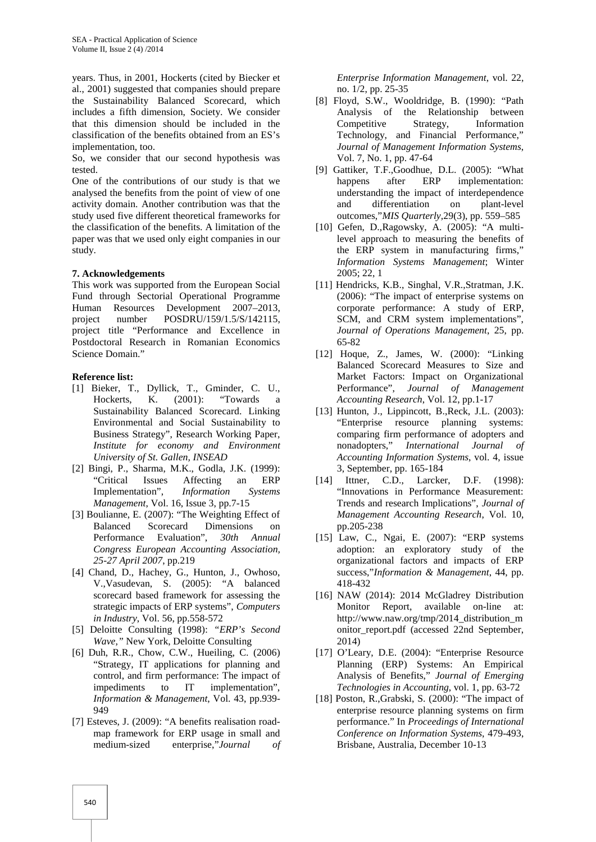years. Thus, in 2001, Hockerts (cited by Biecker et al., 2001) suggested that companies should prepare the Sustainability Balanced Scorecard, which includes a fifth dimension, Society. We consider that this dimension should be included in the classification of the benefits obtained from an ES's implementation, too.

So, we consider that our second hypothesis was tested.

One of the contributions of our study is that we analysed the benefits from the point of view of one activity domain. Another contribution was that the study used five different theoretical frameworks for the classification of the benefits. A limitation of the paper was that we used only eight companies in our study.

## **7. Acknowledgements**

This work was supported from the European Social Fund through Sectorial Operational Programme Human Resources Development 2007–2013, project number POSDRU/159/1.5/S/142115, project title "Performance and Excellence in Postdoctoral Research in Romanian Economics Science Domain."

## **Reference list:**

- [1] Bieker, T., Dyllick, T., Gminder, C. U., Hockerts, K. (2001): "Towards a Sustainability Balanced Scorecard. Linking Environmental and Social Sustainability to Business Strategy", Research Working Paper, *Institute for economy and Environment University of St. Gallen, INSEAD*
- [2] Bingi, P., Sharma, M.K., Godla, J.K. (1999): "Critical Issues Affecting an ERP Implementation", *Information Systems Management*, Vol. 16, Issue 3, pp.7-15
- [3] Boulianne, E. (2007): "The Weighting Effect of Balanced Scorecard Dimensions on Performance Evaluation", *30th Annual Congress European Accounting Association, 25-27 April 2007*, pp.219
- [4] Chand, D., Hachey, G., Hunton, J., Owhoso, V.,Vasudevan, S. (2005): "A balanced scorecard based framework for assessing the strategic impacts of ERP systems", *Computers in Industry*, Vol. 56, pp.558-572
- [5] Deloitte Consulting (1998): *"ERP's Second Wave,"* New York, Deloitte Consulting
- [6] Duh, R.R., Chow, C.W., Hueiling, C. (2006) "Strategy, IT applications for planning and control, and firm performance: The impact of impediments to IT implementation", *Information & Management*, Vol. 43, pp.939- 949
- [7] Esteves, J. (2009): "A benefits realisation roadmap framework for ERP usage in small and medium-sized enterprise,"*Journal of*

*Enterprise Information Management*, vol. 22, no. 1/2, pp. 25-35

- [8] Floyd, S.W., Wooldridge, B. (1990): "Path Analysis of the Relationship between Competitive Strategy, Information Technology, and Financial Performance," *Journal of Management Information Systems*, Vol. 7, No. 1, pp. 47-64
- [9] Gattiker, T.F.,Goodhue, D.L. (2005): "What happens after ERP implementation: understanding the impact of interdependence and differentiation on plant-level outcomes,"*MIS Quarterly,*29(3), pp. 559–585
- [10] Gefen, D.,Ragowsky, A. (2005): "A multilevel approach to measuring the benefits of the ERP system in manufacturing firms," *Information Systems Management*; Winter 2005; 22, 1
- [11] Hendricks, K.B., Singhal, V.R.,Stratman, J.K. (2006): "The impact of enterprise systems on corporate performance: A study of ERP, SCM, and CRM system implementations", *Journal of Operations Management*, 25, pp. 65-82
- [12] Hoque, Z., James, W. (2000): "Linking Balanced Scorecard Measures to Size and Market Factors: Impact on Organizational Performance", *Journal of Management Accounting Research*, Vol. 12, pp.1-17
- [13] Hunton, J., Lippincott, B., Reck, J.L. (2003): "Enterprise resource planning systems: comparing firm performance of adopters and nonadopters," *International Journal of Accounting Information Systems*, vol. 4, issue 3, September, pp. 165-184
- [14] Ittner, C.D., Larcker, D.F. (1998): "Innovations in Performance Measurement: Trends and research Implications", *Journal of Management Accounting Research*, Vol. 10, pp.205-238
- [15] Law, C., Ngai, E. (2007): "ERP systems adoption: an exploratory study of the organizational factors and impacts of ERP success,"*Information & Management*, 44, pp. 418-432
- [16] NAW (2014): 2014 McGladrey Distribution Monitor Report, available on-line at: http://www.naw.org/tmp/2014\_distribution\_m onitor report.pdf (accessed 22nd September, 2014)
- [17] O'Leary, D.E. (2004): "Enterprise Resource Planning (ERP) Systems: An Empirical Analysis of Benefits," *Journal of Emerging Technologies in Accounting*, vol. 1, pp. 63-72
- [18] Poston, R., Grabski, S. (2000): "The impact of enterprise resource planning systems on firm performance." In *Proceedings of International Conference on Information Systems*, 479-493, Brisbane, Australia, December 10-13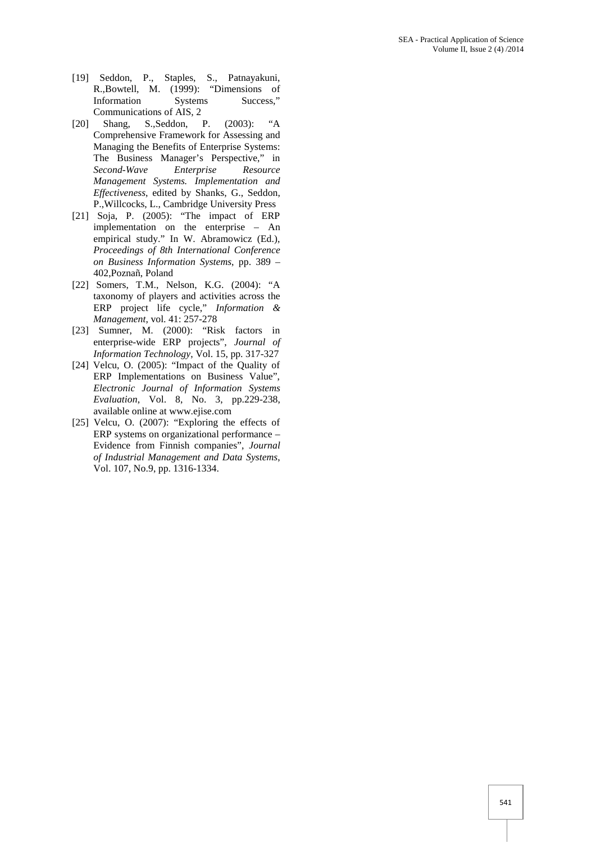- [19] Seddon, P., Staples, S., Patnayakuni, R.,Bowtell, M. (1999): "Dimensions of Information Systems Success," Communications of AIS, 2
- [20] Shang, S.,Seddon, P. (2003): "A Comprehensive Framework for Assessing and Managing the Benefits of Enterprise Systems: The Business Manager's Perspective," in *Second-Wave Enterprise Resource Management Systems. Implementation and Effectiveness*, edited by Shanks, G., Seddon, P.,Willcocks, L., Cambridge University Press
- [21] Soja, P. (2005): "The impact of ERP implementation on the enterprise – An empirical study." In W. Abramowicz (Ed.), *Proceedings of 8th International Conference on Business Information Systems*, pp. 389 – 402,Poznañ, Poland
- [22] Somers, T.M., Nelson, K.G. (2004): "A taxonomy of players and activities across the ERP project life cycle," *Information & Management*, vol. 41: 257-278
- [23] Sumner, M. (2000): "Risk factors in enterprise-wide ERP projects", *Journal of Information Technology*, Vol. 15, pp. 317-327
- [24] Velcu, O. (2005): "Impact of the Quality of ERP Implementations on Business Value", *Electronic Journal of Information Systems Evaluation*, Vol. 8, No. 3, pp.229-238, available online at www.ejise.com
- [25] Velcu, O. (2007): "Exploring the effects of ERP systems on organizational performance – Evidence from Finnish companies", *Journal of Industrial Management and Data Systems*, Vol. 107, No.9, pp. 1316-1334.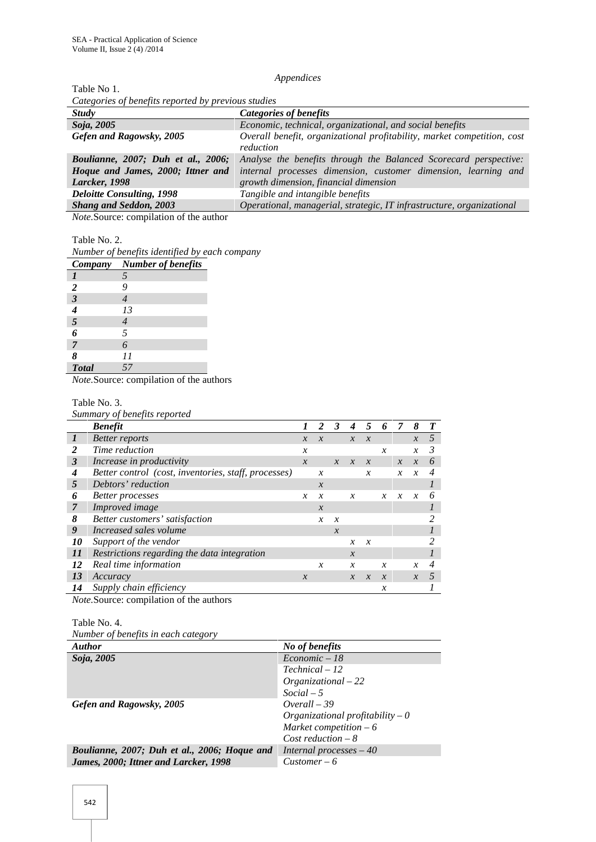#### *Appendices*

Table No 1. *Categories of benefits reported by previous studies*

| <b>Study</b>                       | <b>Categories of benefits</b>                                                        |
|------------------------------------|--------------------------------------------------------------------------------------|
| Soja, 2005                         | Economic, technical, organizational, and social benefits                             |
| Gefen and Ragowsky, 2005           | Overall benefit, organizational profitability, market competition, cost<br>reduction |
| Boulianne, 2007; Duh et al., 2006; | Analyse the benefits through the Balanced Scorecard perspective:                     |
| Hoque and James, 2000; Ittner and  | internal processes dimension, customer dimension, learning and                       |
| Larcker, 1998                      | growth dimension, financial dimension                                                |
| <b>Deloitte Consulting, 1998</b>   | Tangible and intangible benefits                                                     |
| <b>Shang and Seddon, 2003</b>      | Operational, managerial, strategic, IT infrastructure, organizational                |

*Note.*Source: compilation of the author

#### Table No. 2.

*Number of benefits identified by each company*

|                         | Company Number of benefits |
|-------------------------|----------------------------|
|                         | 5                          |
| $\overline{2}$          | y                          |
| $\overline{\mathbf{3}}$ |                            |
|                         | 13                         |
| $\overline{5}$          |                            |
| 6                       | $\overline{5}$             |
| $\overline{7}$          | 6                          |
| 8                       | 11                         |
| <b>Total</b>            | 57                         |

*Note.*Source: compilation of the authors

## Table No. 3.

*Summary of benefits reported*

|                  | <b>Benefit</b>                                       |                  | 2                | 3             | 4                | 5                | 6             | 7                   | 8                |   |
|------------------|------------------------------------------------------|------------------|------------------|---------------|------------------|------------------|---------------|---------------------|------------------|---|
| 1                | <b>Better reports</b>                                |                  | $\mathcal{X}$    |               | $\mathcal{X}$    | $\mathcal{X}$    |               |                     | $\mathcal{X}$    | 5 |
|                  | Time reduction                                       | x                |                  |               |                  |                  | $\mathcal{X}$ |                     | $\mathcal{X}$    | 3 |
| 3                | Increase in productivity                             | $\mathcal{X}$    |                  | $\mathcal{X}$ | $\mathcal{X}$    | $\mathcal{X}$    |               | $\mathcal{X}$       | $\mathcal{X}$    | 6 |
| 4                | Better control (cost, inventories, staff, processes) |                  | $\boldsymbol{x}$ |               |                  | $\boldsymbol{x}$ |               | $\mathcal{X}$       | $\boldsymbol{x}$ |   |
| 5                | Debtors' reduction                                   |                  | $\mathcal{X}$    |               |                  |                  |               |                     |                  |   |
| 6                | <b>Better processes</b>                              | $\boldsymbol{x}$ | $\mathcal{X}$    |               | $\boldsymbol{x}$ |                  | x             | $\boldsymbol{\chi}$ | $\boldsymbol{x}$ | 6 |
| 7                | Improved image                                       |                  | $\mathcal{X}$    |               |                  |                  |               |                     |                  |   |
| 8                | Better customers' satisfaction                       |                  | x                | $\mathcal{X}$ |                  |                  |               |                     |                  |   |
| 9                | Increased sales volume                               |                  |                  | $\mathcal{X}$ |                  |                  |               |                     |                  |   |
| <i><b>10</b></i> | Support of the vendor                                |                  |                  |               | x                | $\mathcal{X}$    |               |                     |                  |   |
| 11               | Restrictions regarding the data integration          |                  |                  |               | $\mathcal{X}$    |                  |               |                     |                  |   |
| 12               | Real time information                                |                  | $\boldsymbol{x}$ |               | $\mathcal{X}$    |                  | $\mathcal{X}$ |                     | $\mathcal{X}$    | 4 |
| 13               | Accuracy                                             | $\mathcal{X}$    |                  |               | х                | $\mathcal{X}$    | $\mathcal{X}$ |                     | $\mathcal{X}$    |   |
| 14               | Supply chain efficiency                              |                  |                  |               |                  |                  | x             |                     |                  |   |

*Note.* Source: compilation of the authors

### Table No. 4.

*Number of benefits in each category*

| There of our changes in called called the    |                                         |
|----------------------------------------------|-----------------------------------------|
| <b>Author</b>                                | No of benefits                          |
| Soja, 2005                                   | $Economic-18$                           |
|                                              | Technical – 12                          |
|                                              | $Organizational-22$                     |
|                                              | $Social - 5$                            |
| Gefen and Ragowsky, 2005                     | $Overall - 39$                          |
|                                              | <i>Organizational profitability – 0</i> |
|                                              | Market competition $-6$                 |
|                                              | $Cost reduction - 8$                    |
| Boulianne, 2007; Duh et al., 2006; Hoque and | Internal processes $-40$                |
| James, 2000; Ittner and Larcker, 1998        | $Customer - 6$                          |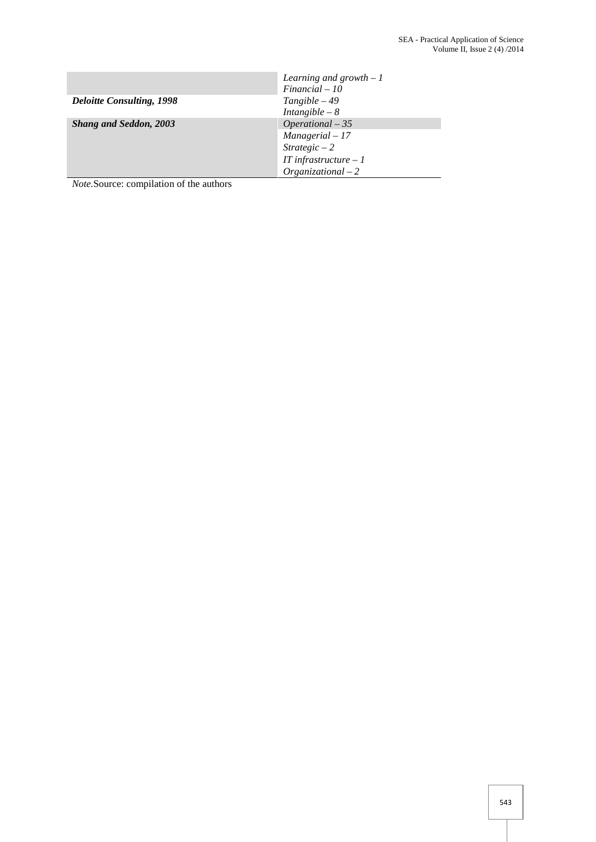| Learning and growth $-1$ |
|--------------------------|
| $Financial - 10$         |
| $Tangible - 49$          |
| Intangible $-8$          |
| $Operational - 35$       |
| $Management - 17$        |
| $Strategyic-2$           |
| IT infrastructure $-1$   |
| $Organizational-2$       |
|                          |

*Note.*Source: compilation of the authors